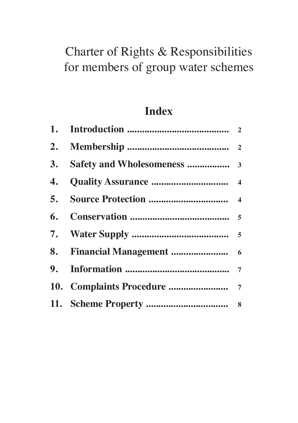# Charter of Rights & Responsibilities for members of group water schemes

# **Index**

| 5. |  |
|----|--|
|    |  |
|    |  |
|    |  |
|    |  |
|    |  |
|    |  |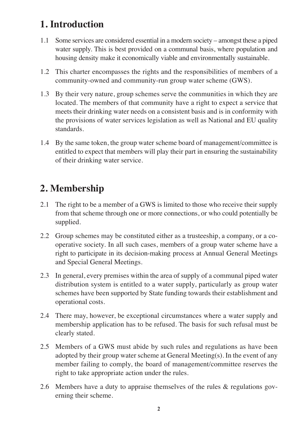## **1. Introduction**

- 1.1 Some services are considered essential in a modern society amongst these a piped water supply. This is best provided on a communal basis, where population and housing density make it economically viable and environmentally sustainable.
- 1.2 This charter encompasses the rights and the responsibilities of members of a community-owned and community-run group water scheme (GWS).
- 1.3 By their very nature, group schemes serve the communities in which they are located. The members of that community have a right to expect a service that meets their drinking water needs on a consistent basis and is in conformity with the provisions of water services legislation as well as National and EU quality standards.
- 1.4 By the same token, the group water scheme board of management/committee is entitled to expect that members will play their part in ensuring the sustainability of their drinking water service.

### **2. Membership**

- 2.1 The right to be a member of a GWS is limited to those who receive their supply from that scheme through one or more connections, or who could potentially be supplied.
- 2.2 Group schemes may be constituted either as a trusteeship, a company, or a cooperative society. In all such cases, members of a group water scheme have a right to participate in its decision-making process at Annual General Meetings and Special General Meetings.
- 2.3 In general, every premises within the area of supply of a communal piped water distribution system is entitled to a water supply, particularly as group water schemes have been supported by State funding towards their establishment and operational costs.
- 2.4 There may, however, be exceptional circumstances where a water supply and membership application has to be refused. The basis for such refusal must be clearly stated.
- 2.5 Members of a GWS must abide by such rules and regulations as have been adopted by their group water scheme at General Meeting(s). In the event of any member failing to comply, the board of management/committee reserves the right to take appropriate action under the rules.
- 2.6 Members have a duty to appraise themselves of the rules & regulations governing their scheme.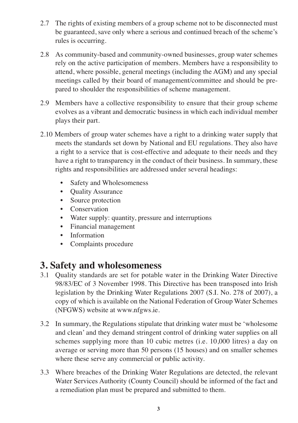- 2.7 The rights of existing members of a group scheme not to be disconnected must be guaranteed, save only where a serious and continued breach of the scheme's rules is occurring.
- 2.8 As community-based and community-owned businesses, group water schemes rely on the active participation of members. Members have a responsibility to attend, where possible, general meetings (including the AGM) and any special meetings called by their board of management/committee and should be prepared to shoulder the responsibilities of scheme management.
- 2.9 Members have a collective responsibility to ensure that their group scheme evolves as a vibrant and democratic business in which each individual member plays their part.
- 2.10 Members of group water schemes have a right to a drinking water supply that meets the standards set down by National and EU regulations. They also have a right to a service that is cost-effective and adequate to their needs and they have a right to transparency in the conduct of their business. In summary, these rights and responsibilities are addressed under several headings:
	- Safety and Wholesomeness
	- Quality Assurance
	- Source protection
	- Conservation
	- Water supply: quantity, pressure and interruptions
	- Financial management
	- Information
	- Complaints procedure

#### **3. Safety and wholesomeness**

- 3.1 Quality standards are set for potable water in the Drinking Water Directive 98/83/EC of 3 November 1998. This Directive has been transposed into Irish legislation by the Drinking Water Regulations 2007 (S.I. No. 278 of 2007), a copy of which is available on the National Federation of Group Water Schemes (NFGWS) website at www.nfgws.ie.
- 3.2 In summary, the Regulations stipulate that drinking water must be 'wholesome and clean' and they demand stringent control of drinking water supplies on all schemes supplying more than 10 cubic metres (i.e. 10,000 litres) a day on average or serving more than 50 persons (15 houses) and on smaller schemes where these serve any commercial or public activity.
- 3.3 Where breaches of the Drinking Water Regulations are detected, the relevant Water Services Authority (County Council) should be informed of the fact and a remediation plan must be prepared and submitted to them.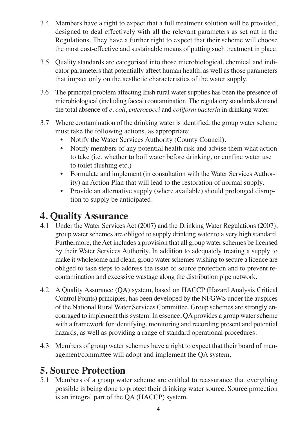- 3.4 Members have a right to expect that a full treatment solution will be provided, designed to deal effectively with all the relevant parameters as set out in the Regulations. They have a further right to expect that their scheme will choose the most cost-effective and sustainable means of putting such treatment in place.
- 3.5 Quality standards are categorised into those microbiological, chemical and indicator parameters that potentially affect human health, as well as those parameters that impact only on the aesthetic characteristics of the water supply.
- 3.6 The principal problem affecting Irish rural water supplies has been the presence of microbiological (including faecal) contamination.The regulatory standards demand the total absence of *e. coli*, *enterococci* and *coliform bacteria* in drinking water.
- 3.7 Where contamination of the drinking water is identified, the group water scheme must take the following actions, as appropriate:
	- Notify the Water Services Authority (County Council).
	- Notify members of any potential health risk and advise them what action to take (i.e. whether to boil water before drinking, or confine water use to toilet flushing etc.)
	- Formulate and implement (in consultation with the Water Services Authority) an Action Plan that will lead to the restoration of normal supply.
	- Provide an alternative supply (where available) should prolonged disruption to supply be anticipated.

## **4. Quality Assurance**

- 4.1 Under the Water Services Act (2007) and the Drinking Water Regulations (2007), group water schemes are obliged to supply drinking water to a very high standard. Furthermore, the Act includes a provision that all group water schemes be licensed by their Water Services Authority. In addition to adequately treating a supply to make it wholesome and clean, group water schemes wishing to secure a licence are obliged to take steps to address the issue of source protection and to prevent recontamination and excessive wastage along the distribution pipe network.
- 4.2 A Quality Assurance (QA) system, based on HACCP (Hazard Analysis Critical Control Points) principles, has been developed by the NFGWS under the auspices of the National Rural Water Services Committee. Group schemes are strongly encouraged to implement this system. In essence, QA provides a group water scheme with a framework for identifying, monitoring and recording present and potential hazards, as well as providing a range of standard operational procedures.
- 4.3 Members of group water schemes have a right to expect that their board of management/committee will adopt and implement the QA system.

## **5. Source Protection**

5.1 Members of a group water scheme are entitled to reassurance that everything possible is being done to protect their drinking water source. Source protection is an integral part of the QA (HACCP) system.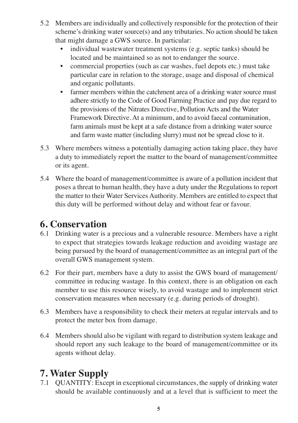- 5.2 Members are individually and collectively responsible for the protection of their scheme's drinking water source(s) and any tributaries. No action should be taken that might damage a GWS source. In particular:
	- individual wastewater treatment systems (e.g. septic tanks) should be located and be maintained so as not to endanger the source.
	- commercial properties (such as car washes, fuel depots etc.) must take particular care in relation to the storage, usage and disposal of chemical and organic pollutants.
	- farmer members within the catchment area of a drinking water source must adhere strictly to the Code of Good Farming Practice and pay due regard to the provisions of the Nitrates Directive, Pollution Acts and the Water Framework Directive. At a minimum, and to avoid faecal contamination, farm animals must be kept at a safe distance from a drinking water source and farm waste matter (including slurry) must not be spread close to it.
- 5.3 Where members witness a potentially damaging action taking place, they have a duty to immediately report the matter to the board of management/committee or its agent.
- 5.4 Where the board of management/committee is aware of a pollution incident that poses a threat to human health, they have a duty under the Regulations to report the matter to their Water Services Authority. Members are entitled to expect that this duty will be performed without delay and without fear or favour.

#### **6. Conservation**

- 6.1 Drinking water is a precious and a vulnerable resource. Members have a right to expect that strategies towards leakage reduction and avoiding wastage are being pursued by the board of management/committee as an integral part of the overall GWS management system.
- 6.2 For their part, members have a duty to assist the GWS board of management/ committee in reducing wastage. In this context, there is an obligation on each member to use this resource wisely, to avoid wastage and to implement strict conservation measures when necessary (e.g. during periods of drought).
- 6.3 Members have a responsibility to check their meters at regular intervals and to protect the meter box from damage.
- 6.4 Members should also be vigilant with regard to distribution system leakage and should report any such leakage to the board of management/committee or its agents without delay.

#### **7. Water Supply**

7.1 QUANTITY: Except in exceptional circumstances, the supply of drinking water should be available continuously and at a level that is sufficient to meet the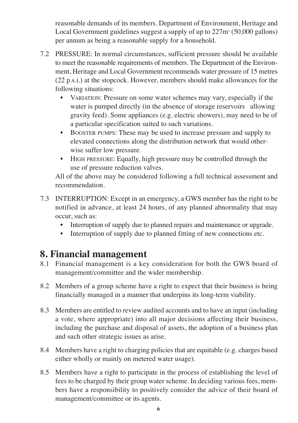reasonable demands of its members. Department of Environment, Heritage and Local Government guidelines suggest a supply of up to  $227m<sup>3</sup>$  (50,000 gallons) per annum as being a reasonable supply for a household.

- 7.2 PRESSURE: In normal circumstances, sufficient pressure should be available to meet the reasonable requirements of members. The Department of the Environment, Heritage and Local Government recommends water pressure of 15 metres (22 p.s.i.) at the stopcock. However, members should make allowances for the following situations:
	- VARIATION: Pressure on some water schemes may vary, especially if the water is pumped directly (in the absence of storage reservoirs allowing gravity feed). Some appliances (e.g. electric showers), may need to be of a particular specification suited to such variations.
	- BOOSTER PUMPS: These may be used to increase pressure and supply to elevated connections along the distribution network that would otherwise suffer low pressure.
	- HIGH PRESSURE: Equally, high pressure may be controlled through the use of pressure reduction valves.

All of the above may be considered following a full technical assessment and recommendation.

- 7.3 INTERRUPTION: Except in an emergency, a GWS member has the right to be notified in advance, at least 24 hours, of any planned abnormality that may occur, such as:
	- Interruption of supply due to planned repairs and maintenance or upgrade.
	- Interruption of supply due to planned fitting of new connections etc.

#### **8. Financial management**

- 8.1 Financial management is a key consideration for both the GWS board of management/committee and the wider membership.
- 8.2 Members of a group scheme have a right to expect that their business is being financially managed in a manner that underpins its long-term viability.
- 8.3 Members are entitled to review audited accounts and to have an input (including a vote, where appropriate) into all major decisions affecting their business, including the purchase and disposal of assets, the adoption of a business plan and such other strategic issues as arise.
- 8.4 Members have a right to charging policies that are equitable (e.g. charges based either wholly or mainly on metered water usage).
- 8.5 Members have a right to participate in the process of establishing the level of fees to be charged by their group water scheme. In deciding various fees, members have a responsibility to positively consider the advice of their board of management/committee or its agents.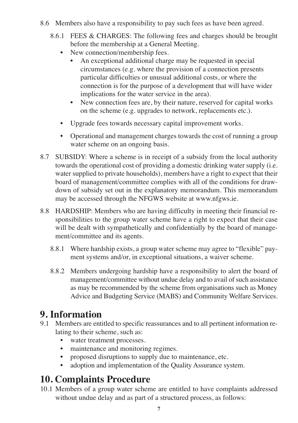- 8.6 Members also have a responsibility to pay such fees as have been agreed.
	- 8.6.1 FEES & CHARGES: The following fees and charges should be brought before the membership at a General Meeting.
		- New connection/membership fees.
			- An exceptional additional charge may be requested in special circumstances (e.g. where the provision of a connection presents particular difficulties or unusual additional costs, or where the connection is for the purpose of a development that will have wider implications for the water service in the area).
			- New connection fees are, by their nature, reserved for capital works on the scheme (e.g. upgrades to network, replacements etc.).
		- Upgrade fees towards necessary capital improvement works.
		- Operational and management charges towards the cost of running a group water scheme on an ongoing basis.
- 8.7 SUBSIDY: Where a scheme is in receipt of a subsidy from the local authority towards the operational cost of providing a domestic drinking water supply (i.e. water supplied to private households), members have a right to expect that their board of management/committee complies with all of the conditions for drawdown of subsidy set out in the explanatory memorandum. This memorandum may be accessed through the NFGWS website at www.nfgws.ie.
- 8.8 HARDSHIP: Members who are having difficulty in meeting their financial responsibilities to the group water scheme have a right to expect that their case will be dealt with sympathetically and confidentially by the board of management/committee and its agents.
	- 8.8.1 Where hardship exists, a group water scheme may agree to "flexible" payment systems and/or, in exceptional situations, a waiver scheme.
	- 8.8.2 Members undergoing hardship have a responsibility to alert the board of management/committee without undue delay and to avail of such assistance as may be recommended by the scheme from organisations such as Money Advice and Budgeting Service (MABS) and Community Welfare Services.

#### **9. Information**

- 9.1 Members are entitled to specific reassurances and to all pertinent information relating to their scheme, such as:
	- water treatment processes.
	- maintenance and monitoring regimes.
	- proposed disruptions to supply due to maintenance, etc.
	- adoption and implementation of the Quality Assurance system.

#### **10. Complaints Procedure**

10.1 Members of a group water scheme are entitled to have complaints addressed without undue delay and as part of a structured process, as follows: